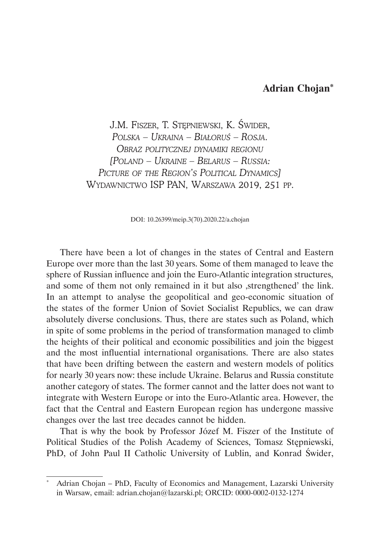## **Adrian Chojan\***

J.M. Fiszer, T. Stępniewski, K. Świder, *Polska – Ukraina – Białoruś – Rosja. Obraz politycznej dynamiki regionu [Poland – Ukraine – Belarus – Russia: Picture of the Region's Political Dynamics]* Wydawnictwo ISP PAN, Warszawa 2019, 251 pp.

DOI: 10.26399/meip.3(70).2020.22/a.chojan

There have been a lot of changes in the states of Central and Eastern Europe over more than the last 30 years. Some of them managed to leave the sphere of Russian influence and join the Euro-Atlantic integration structures, and some of them not only remained in it but also , strengthened' the link. In an attempt to analyse the geopolitical and geo-economic situation of the states of the former Union of Soviet Socialist Republics, we can draw absolutely diverse conclusions. Thus, there are states such as Poland, which in spite of some problems in the period of transformation managed to climb the heights of their political and economic possibilities and join the biggest and the most influential international organisations. There are also states that have been drifting between the eastern and western models of politics for nearly 30 years now: these include Ukraine. Belarus and Russia constitute another category of states. The former cannot and the latter does not want to integrate with Western Europe or into the Euro-Atlantic area. However, the fact that the Central and Eastern European region has undergone massive changes over the last tree decades cannot be hidden.

That is why the book by Professor Józef M. Fiszer of the Institute of Political Studies of the Polish Academy of Sciences, Tomasz Stępniewski, PhD, of John Paul II Catholic University of Lublin, and Konrad Świder,

<sup>\*</sup> Adrian Chojan – PhD, Faculty of Economics and Management, Lazarski University in Warsaw, email: adrian.chojan@lazarski.pl; ORCID: 0000-0002-0132-1274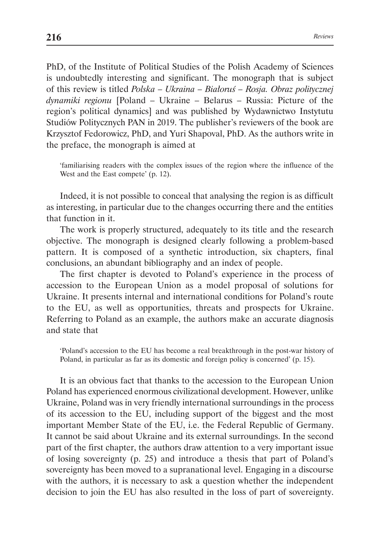PhD, of the Institute of Political Studies of the Polish Academy of Sciences is undoubtedly interesting and significant. The monograph that is subject of this review is titled *Polska – Ukraina – Białoruś – Rosja. Obraz politycznej dynamiki regionu* [Poland – Ukraine – Belarus – Russia: Picture of the region's political dynamics] and was published by Wydawnictwo Instytutu Studiów Politycznych PAN in 2019. The publisher's reviewers of the book are Krzysztof Fedorowicz, PhD, and Yuri Shapoval, PhD. As the authors write in the preface, the monograph is aimed at

'familiarising readers with the complex issues of the region where the influence of the West and the East compete' (p. 12).

Indeed, it is not possible to conceal that analysing the region is as difficult as interesting, in particular due to the changes occurring there and the entities that function in it.

The work is properly structured, adequately to its title and the research objective. The monograph is designed clearly following a problem-based pattern. It is composed of a synthetic introduction, six chapters, final conclusions, an abundant bibliography and an index of people.

The first chapter is devoted to Poland's experience in the process of accession to the European Union as a model proposal of solutions for Ukraine. It presents internal and international conditions for Poland's route to the EU, as well as opportunities, threats and prospects for Ukraine. Referring to Poland as an example, the authors make an accurate diagnosis and state that

'Poland's accession to the EU has become a real breakthrough in the post-war history of Poland, in particular as far as its domestic and foreign policy is concerned' (p. 15).

It is an obvious fact that thanks to the accession to the European Union Poland has experienced enormous civilizational development. However, unlike Ukraine, Poland was in very friendly international surroundings in the process of its accession to the EU, including support of the biggest and the most important Member State of the EU, i.e. the Federal Republic of Germany. It cannot be said about Ukraine and its external surroundings. In the second part of the first chapter, the authors draw attention to a very important issue of losing sovereignty (p. 25) and introduce a thesis that part of Poland's sovereignty has been moved to a supranational level. Engaging in a discourse with the authors, it is necessary to ask a question whether the independent decision to join the EU has also resulted in the loss of part of sovereignty.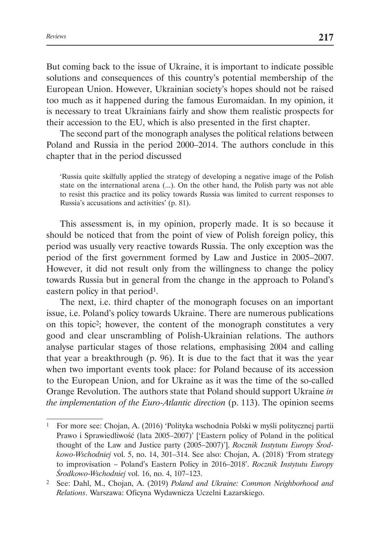But coming back to the issue of Ukraine, it is important to indicate possible solutions and consequences of this country's potential membership of the European Union. However, Ukrainian society's hopes should not be raised too much as it happened during the famous Euromaidan. In my opinion, it is necessary to treat Ukrainians fairly and show them realistic prospects for their accession to the EU, which is also presented in the first chapter.

The second part of the monograph analyses the political relations between Poland and Russia in the period 2000–2014. The authors conclude in this chapter that in the period discussed

'Russia quite skilfully applied the strategy of developing a negative image of the Polish state on the international arena (...). On the other hand, the Polish party was not able to resist this practice and its policy towards Russia was limited to current responses to Russia's accusations and activities' (p. 81).

This assessment is, in my opinion, properly made. It is so because it should be noticed that from the point of view of Polish foreign policy, this period was usually very reactive towards Russia. The only exception was the period of the first government formed by Law and Justice in 2005–2007. However, it did not result only from the willingness to change the policy towards Russia but in general from the change in the approach to Poland's eastern policy in that period<sup>1</sup>.

The next, i.e. third chapter of the monograph focuses on an important issue, i.e. Poland's policy towards Ukraine. There are numerous publications on this topic2; however, the content of the monograph constitutes a very good and clear unscrambling of Polish-Ukrainian relations. The authors analyse particular stages of those relations, emphasising 2004 and calling that year a breakthrough (p. 96). It is due to the fact that it was the year when two important events took place: for Poland because of its accession to the European Union, and for Ukraine as it was the time of the so-called Orange Revolution. The authors state that Poland should support Ukraine *in the implementation of the Euro-Atlantic direction* (p. 113). The opinion seems

<sup>1</sup> For more see: Chojan, A. (2016) 'Polityka wschodnia Polski w myśli politycznej partii Prawo i Sprawiedliwość (lata 2005–2007)' ['Eastern policy of Poland in the political thought of the Law and Justice party (2005–2007)']. *Rocznik Instytutu Europy Środkowo-Wschodniej* vol. 5, no. 14, 301–314. See also: Chojan, A. (2018) 'From strategy to improvisation – Poland's Eastern Policy in 2016–2018'. *Rocznik Instytutu Europy Środkowo-Wschodniej* vol. 16, no. 4, 107–123.

<sup>2</sup> See: Dahl, M., Chojan, A. (2019) *Poland and Ukraine: Common Neighborhood and Relations*. Warszawa: Oficyna Wydawnicza Uczelni Łazarskiego.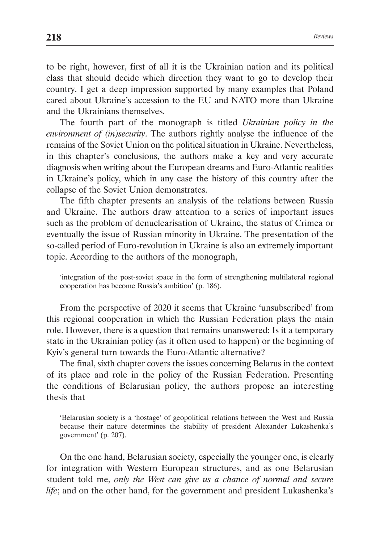to be right, however, first of all it is the Ukrainian nation and its political class that should decide which direction they want to go to develop their country. I get a deep impression supported by many examples that Poland cared about Ukraine's accession to the EU and NATO more than Ukraine and the Ukrainians themselves.

The fourth part of the monograph is titled *Ukrainian policy in the environment of (in)security*. The authors rightly analyse the influence of the remains of the Soviet Union on the political situation in Ukraine. Nevertheless, in this chapter's conclusions, the authors make a key and very accurate diagnosis when writing about the European dreams and Euro-Atlantic realities in Ukraine's policy, which in any case the history of this country after the collapse of the Soviet Union demonstrates.

The fifth chapter presents an analysis of the relations between Russia and Ukraine. The authors draw attention to a series of important issues such as the problem of denuclearisation of Ukraine, the status of Crimea or eventually the issue of Russian minority in Ukraine. The presentation of the so-called period of Euro-revolution in Ukraine is also an extremely important topic. According to the authors of the monograph,

'integration of the post-soviet space in the form of strengthening multilateral regional cooperation has become Russia's ambition' (p. 186).

From the perspective of 2020 it seems that Ukraine 'unsubscribed' from this regional cooperation in which the Russian Federation plays the main role. However, there is a question that remains unanswered: Is it a temporary state in the Ukrainian policy (as it often used to happen) or the beginning of Kyiv's general turn towards the Euro-Atlantic alternative?

The final, sixth chapter covers the issues concerning Belarus in the context of its place and role in the policy of the Russian Federation. Presenting the conditions of Belarusian policy, the authors propose an interesting thesis that

'Belarusian society is a 'hostage' of geopolitical relations between the West and Russia because their nature determines the stability of president Alexander Lukashenka's government' (p. 207).

On the one hand, Belarusian society, especially the younger one, is clearly for integration with Western European structures, and as one Belarusian student told me, *only the West can give us a chance of normal and secure life*; and on the other hand, for the government and president Lukashenka's